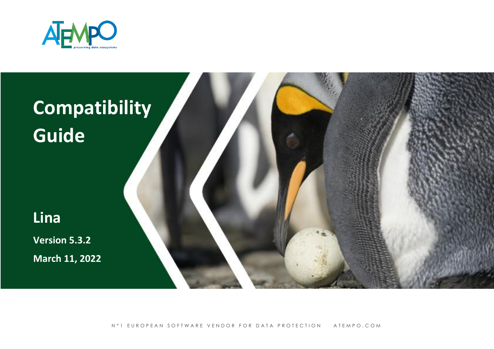



N°1 EUROPEAN SOFTWARE VENDOR FOR DATA PROTECTION ATEMPO.COM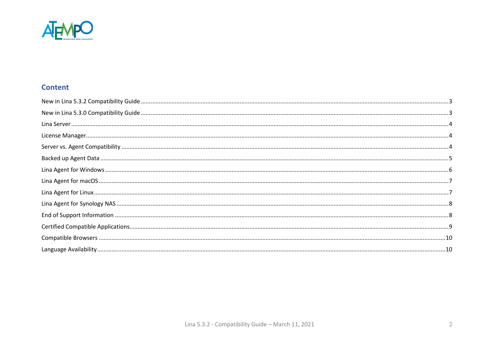

#### **Content**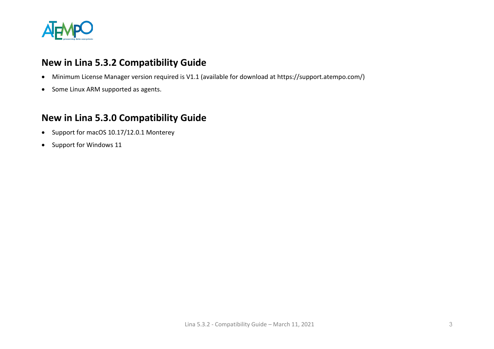

### <span id="page-2-0"></span>**New in Lina 5.3.2 Compatibility Guide**

- Minimum License Manager version required is V1.1 (available for download at https://support.atempo.com/)
- Some Linux ARM supported as agents.

### <span id="page-2-1"></span>**New in Lina 5.3.0 Compatibility Guide**

- Support for macOS 10.17/12.0.1 Monterey
- Support for Windows 11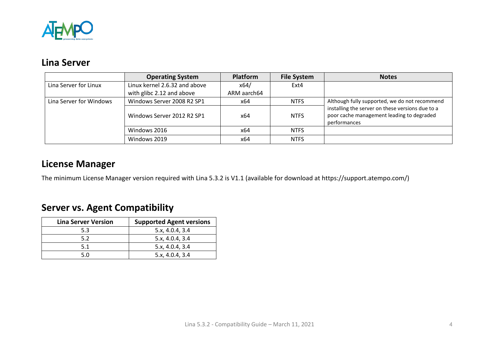

## <span id="page-3-0"></span>**Lina Server**

|                         | <b>Operating System</b>       | <b>Platform</b> | <b>File System</b> | <b>Notes</b>                                                                                                  |
|-------------------------|-------------------------------|-----------------|--------------------|---------------------------------------------------------------------------------------------------------------|
| Lina Server for Linux   | Linux kernel 2.6.32 and above | x64/            | Ext4               |                                                                                                               |
|                         | with glibc 2.12 and above     | ARM aarch64     |                    |                                                                                                               |
| Lina Server for Windows | Windows Server 2008 R2 SP1    | x64             | <b>NTFS</b>        | Although fully supported, we do not recommend                                                                 |
|                         | Windows Server 2012 R2 SP1    | x64             | <b>NTFS</b>        | installing the server on these versions due to a<br>poor cache management leading to degraded<br>performances |
|                         | Windows 2016                  | x64             | <b>NTFS</b>        |                                                                                                               |
|                         | Windows 2019                  | x64             | <b>NTFS</b>        |                                                                                                               |

## <span id="page-3-1"></span>**License Manager**

The minimum License Manager version required with Lina 5.3.2 is V1.1 (available for download at https://support.atempo.com/)

# <span id="page-3-2"></span>**Server vs. Agent Compatibility**

| <b>Lina Server Version</b> | <b>Supported Agent versions</b> |
|----------------------------|---------------------------------|
| 5.3                        | 5.x, 4.0.4, 3.4                 |
| 5.2                        | 5.x, 4.0.4, 3.4                 |
| 5.1                        | 5.x, 4.0.4, 3.4                 |
| 5.0                        | 5.x, 4.0.4, 3.4                 |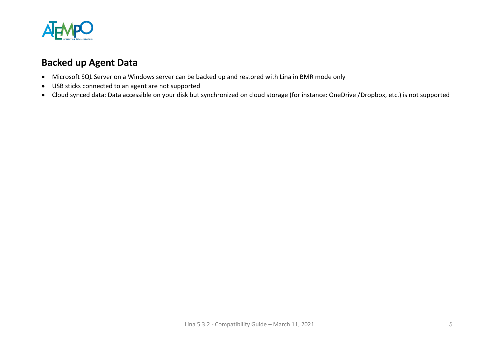

## <span id="page-4-0"></span>**Backed up Agent Data**

- Microsoft SQL Server on a Windows server can be backed up and restored with Lina in BMR mode only
- USB sticks connected to an agent are not supported
- Cloud synced data: Data accessible on your disk but synchronized on cloud storage (for instance: OneDrive /Dropbox, etc.) is not supported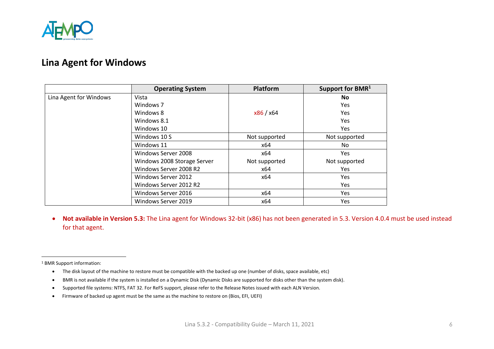

### <span id="page-5-0"></span>**Lina Agent for Windows**

|                        | <b>Operating System</b>     | <b>Platform</b> | Support for BMR <sup>1</sup> |
|------------------------|-----------------------------|-----------------|------------------------------|
| Lina Agent for Windows | Vista                       |                 | <b>No</b>                    |
|                        | Windows 7                   |                 | <b>Yes</b>                   |
|                        | Windows 8                   | x86 / x64       | Yes                          |
|                        | Windows 8.1                 |                 | Yes                          |
|                        | Windows 10                  |                 | Yes                          |
|                        | Windows 10 S                | Not supported   | Not supported                |
|                        | Windows 11                  | x64             | No                           |
|                        | Windows Server 2008         | x64             | Yes                          |
|                        | Windows 2008 Storage Server | Not supported   | Not supported                |
|                        | Windows Server 2008 R2      | x64             | <b>Yes</b>                   |
|                        | Windows Server 2012         | x64             | Yes                          |
|                        | Windows Server 2012 R2      |                 | <b>Yes</b>                   |
|                        | Windows Server 2016         | x64             | Yes                          |
|                        | Windows Server 2019         | x64             | Yes                          |

• **Not available in Version 5.3:** The Lina agent for Windows 32-bit (x86) has not been generated in 5.3. Version 4.0.4 must be used instead for that agent.

<sup>1</sup> BMR Support information:

- The disk layout of the machine to restore must be compatible with the backed up one (number of disks, space available, etc)
- BMR is not available if the system is installed on a Dynamic Disk (Dynamic Disks are supported for disks other than the system disk).
- Supported file systems: NTFS, FAT 32. For ReFS support, please refer to the Release Notes issued with each ALN Version.
- Firmware of backed up agent must be the same as the machine to restore on (Bios, EFI, UEFI)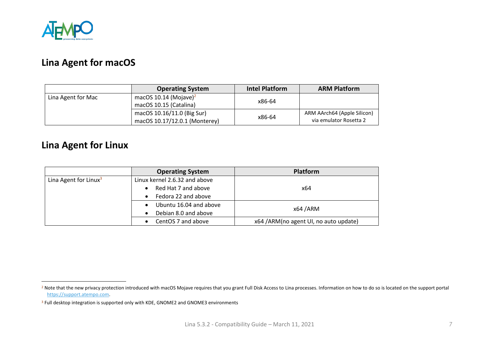

## <span id="page-6-0"></span>**Lina Agent for macOS**

|                    | <b>Operating System</b>           | <b>Intel Platform</b>                 | <b>ARM Platform</b>    |
|--------------------|-----------------------------------|---------------------------------------|------------------------|
| Lina Agent for Mac | macOS 10.14 (Mojave) <sup>2</sup> | x86-64                                |                        |
|                    | macOS 10.15 (Catalina)            |                                       |                        |
|                    | macOS 10.16/11.0 (Big Sur)        | ARM AArch64 (Apple Silicon)<br>x86-64 |                        |
|                    | macOS 10.17/12.0.1 (Monterey)     |                                       | via emulator Rosetta 2 |

## <span id="page-6-1"></span>**Lina Agent for Linux**

|                                   | <b>Operating System</b>       | <b>Platform</b>                       |
|-----------------------------------|-------------------------------|---------------------------------------|
| Lina Agent for Linux <sup>3</sup> | Linux kernel 2.6.32 and above |                                       |
|                                   | Red Hat 7 and above           | x64                                   |
|                                   | Fedora 22 and above           |                                       |
|                                   | Ubuntu 16.04 and above        | x64 / ARM                             |
|                                   | Debian 8.0 and above          |                                       |
|                                   | CentOS 7 and above            | x64 /ARM(no agent UI, no auto update) |

<sup>&</sup>lt;sup>2</sup> Note that the new privacy protection introduced with macOS Mojave requires that you grant Full Disk Access to Lina processes. Information on how to do so is located on the support portal [https://support.atempo.com.](https://support.atempo.com/)

<sup>&</sup>lt;sup>3</sup> Full desktop integration is supported only with KDE, GNOME2 and GNOME3 environments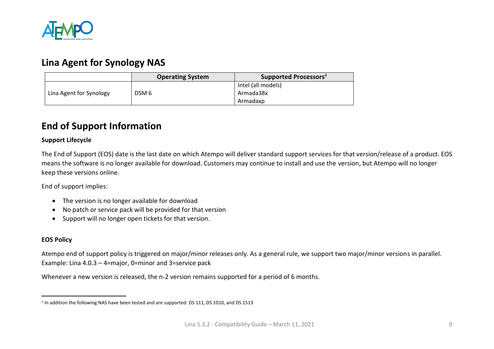

#### <span id="page-7-0"></span>**Lina Agent for Synology NAS**

|                         | <b>Operating System</b> | Supported Processors <sup>4</sup> |
|-------------------------|-------------------------|-----------------------------------|
|                         |                         | Intel (all models)                |
| Lina Agent for Synology | DSM <sub>6</sub>        | Armada38x                         |
|                         |                         | Armadaxp                          |

#### <span id="page-7-1"></span>**End of Support Information**

#### **Support Lifecycle**

The End of Support (EOS) date is the last date on which Atempo will deliver standard support services for that version/release of a product. EOS means the software is no longer available for download. Customers may continue to install and use the version, but Atempo will no longer keep these versions online.

End of support implies:

- The version is no longer available for download
- No patch or service pack will be provided for that version
- Support will no longer open tickets for that version.

#### **EOS Policy**

Atempo end of support policy is triggered on major/minor releases only. As a general rule, we support two major/minor versions in parallel. Example: Lina 4.0.3 – 4=major, 0=minor and 3=service pack

Whenever a new version is released, the n-2 version remains supported for a period of 6 months.

<sup>4</sup> In addition the following NAS have been tested and are supported: DS 111, DS 1010, and DS 1513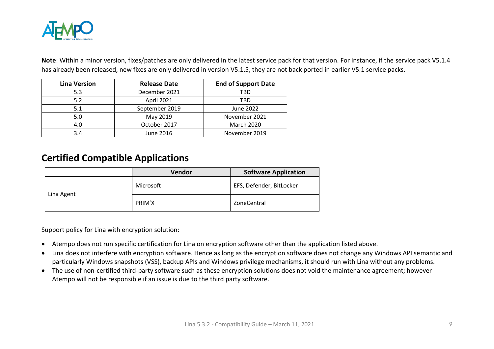

**Note**: Within a minor version, fixes/patches are only delivered in the latest service pack for that version. For instance, if the service pack V5.1.4 has already been released, new fixes are only delivered in version V5.1.5, they are not back ported in earlier V5.1 service packs.

| <b>Lina Version</b> | <b>Release Date</b> | <b>End of Support Date</b> |
|---------------------|---------------------|----------------------------|
| 5.3                 | December 2021       | TBD                        |
| 5.2                 | April 2021          | TBD                        |
| 5.1                 | September 2019      | June 2022                  |
| 5.0                 | May 2019            | November 2021              |
| 4.0                 | October 2017        | <b>March 2020</b>          |
| 3.4                 | June 2016           | November 2019              |

#### <span id="page-8-0"></span>**Certified Compatible Applications**

|            | Vendor    | <b>Software Application</b> |
|------------|-----------|-----------------------------|
| Lina Agent | Microsoft | EFS, Defender, BitLocker    |
|            | PRIM'X    | ZoneCentral                 |

Support policy for Lina with encryption solution:

- Atempo does not run specific certification for Lina on encryption software other than the application listed above.
- Lina does not interfere with encryption software. Hence as long as the encryption software does not change any Windows API semantic and particularly Windows snapshots (VSS), backup APIs and Windows privilege mechanisms, it should run with Lina without any problems.
- The use of non-certified third-party software such as these encryption solutions does not void the maintenance agreement; however Atempo will not be responsible if an issue is due to the third party software.